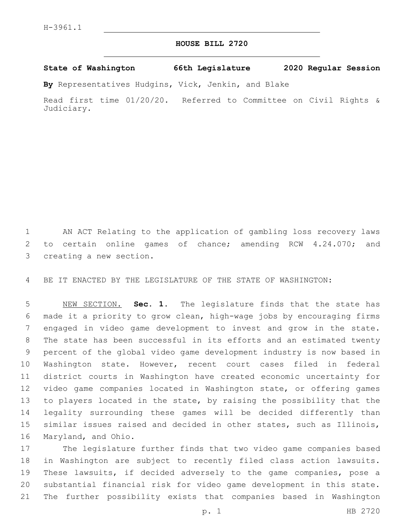## **HOUSE BILL 2720**

**State of Washington 66th Legislature 2020 Regular Session**

**By** Representatives Hudgins, Vick, Jenkin, and Blake

Read first time 01/20/20. Referred to Committee on Civil Rights & Judiciary.

 AN ACT Relating to the application of gambling loss recovery laws 2 to certain online games of chance; amending RCW 4.24.070; and 3 creating a new section.

BE IT ENACTED BY THE LEGISLATURE OF THE STATE OF WASHINGTON:

 NEW SECTION. **Sec. 1.** The legislature finds that the state has made it a priority to grow clean, high-wage jobs by encouraging firms engaged in video game development to invest and grow in the state. The state has been successful in its efforts and an estimated twenty percent of the global video game development industry is now based in Washington state. However, recent court cases filed in federal district courts in Washington have created economic uncertainty for video game companies located in Washington state, or offering games to players located in the state, by raising the possibility that the legality surrounding these games will be decided differently than similar issues raised and decided in other states, such as Illinois, Maryland, and Ohio.

 The legislature further finds that two video game companies based in Washington are subject to recently filed class action lawsuits. These lawsuits, if decided adversely to the game companies, pose a substantial financial risk for video game development in this state. The further possibility exists that companies based in Washington